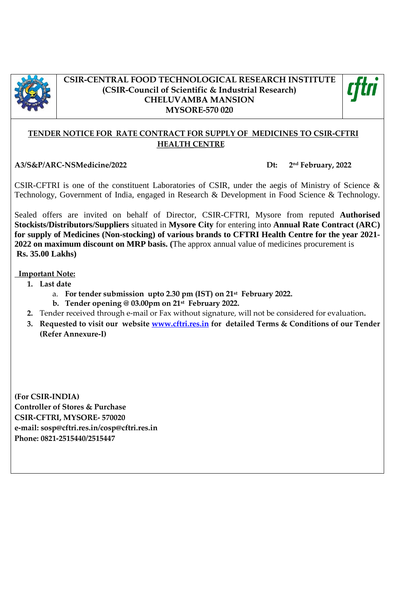

### **CSIR-CENTRAL FOOD TECHNOLOGICAL RESEARCH INSTITUTE (CSIR-Council of Scientific & Industrial Research) CHELUVAMBA MANSION MYSORE-570 020**



## **TENDER NOTICE FOR RATE CONTRACT FOR SUPPLY OF MEDICINES TO CSIR-CFTRI HEALTH CENTRE**

**A3/S&P/ARC-NSMedicine/2022 Dt: 2**

**nd February, 2022**

CSIR-CFTRI is one of the constituent Laboratories of CSIR, under the aegis of Ministry of Science & Technology, Government of India, engaged in Research & Development in Food Science & Technology.

Sealed offers are invited on behalf of Director, CSIR-CFTRI, Mysore from reputed **Authorised Stockists/Distributors/Suppliers** situated in **Mysore City** for entering into **Annual Rate Contract (ARC) for supply of Medicines (Non-stocking) of various brands to CFTRI Health Centre for the year 2021- 2022 on maximum discount on MRP basis. (**The approx annual value of medicines procurement is **Rs. 35.00 Lakhs)**

### **Important Note:**

- **1. Last date** 
	- a. **For tender submission upto 2.30 pm (IST) on 21st February 2022.**
		- **b. Tender opening @ 03.00pm on 21st February 2022.**
- **2.** Tender received through e-mail or Fax without signature, will not be considered for evaluation**.**
- **3. Requested to visit our website [www.cftri.res.in](http://www.cftri.res.in/) for detailed Terms & Conditions of our Tender (Refer Annexure-I)**

**(For CSIR-INDIA) Controller of Stores & Purchase CSIR-CFTRI, MYSORE- 570020 e-mail: sosp@cftri.res.in/cosp@cftri.res.in Phone: 0821-2515440/2515447**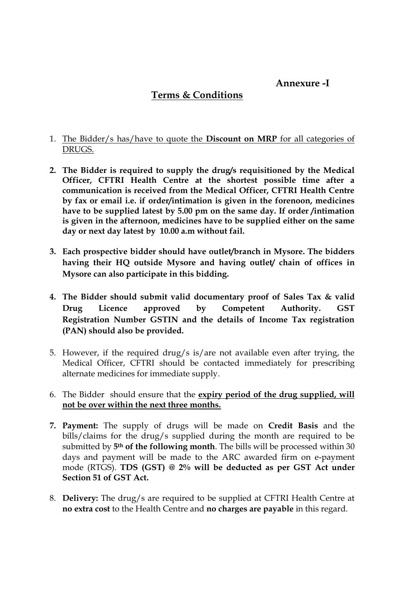# **Annexure -I**

## **Terms & Conditions**

### 1. The Bidder/s has/have to quote the **Discount on MRP** for all categories of DRUGS.

- **2. The Bidder is required to supply the drug/s requisitioned by the Medical Officer, CFTRI Health Centre at the shortest possible time after a communication is received from the Medical Officer, CFTRI Health Centre by fax or email i.e. if order/intimation is given in the forenoon, medicines have to be supplied latest by 5.00 pm on the same day. If order /intimation is given in the afternoon, medicines have to be supplied either on the same day or next day latest by 10.00 a.m without fail.**
- **3. Each prospective bidder should have outlet/branch in Mysore. The bidders having their HQ outside Mysore and having outlet/ chain of offices in Mysore can also participate in this bidding.**
- **4. The Bidder should submit valid documentary proof of Sales Tax & valid Drug Licence approved by Competent Authority. GST Registration Number GSTIN and the details of Income Tax registration (PAN) should also be provided.**
- 5. However, if the required drug/s is/are not available even after trying, the Medical Officer, CFTRI should be contacted immediately for prescribing alternate medicines for immediate supply.
- 6. The Bidder should ensure that the **expiry period of the drug supplied, will not be over within the next three months.**
- **7. Payment:** The supply of drugs will be made on **Credit Basis** and the bills/claims for the drug/s supplied during the month are required to be submitted by **5th of the following month**. The bills will be processed within 30 days and payment will be made to the ARC awarded firm on e-payment mode (RTGS). **TDS (GST) @ 2% will be deducted as per GST Act under Section 51 of GST Act.**
- 8. **Delivery:** The drug/s are required to be supplied at CFTRI Health Centre at **no extra cost** to the Health Centre and **no charges are payable** in this regard.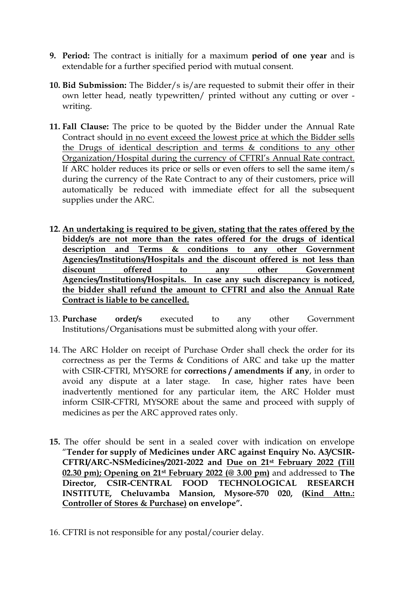- **9. Period:** The contract is initially for a maximum **period of one year** and is extendable for a further specified period with mutual consent.
- **10. Bid Submission:** The Bidder/s is/are requested to submit their offer in their own letter head, neatly typewritten/ printed without any cutting or over writing.
- **11. Fall Clause:** The price to be quoted by the Bidder under the Annual Rate Contract should in no event exceed the lowest price at which the Bidder sells the Drugs of identical description and terms & conditions to any other Organization/Hospital during the currency of CFTRI's Annual Rate contract. If ARC holder reduces its price or sells or even offers to sell the same item/s during the currency of the Rate Contract to any of their customers, price will automatically be reduced with immediate effect for all the subsequent supplies under the ARC.
- **12. An undertaking is required to be given, stating that the rates offered by the bidder/s are not more than the rates offered for the drugs of identical description and Terms & conditions to any other Government Agencies/Institutions/Hospitals and the discount offered is not less than discount offered to any other Government Agencies/Institutions/Hospitals. In case any such discrepancy is noticed, the bidder shall refund the amount to CFTRI and also the Annual Rate Contract is liable to be cancelled.**
- 13. **Purchase order/s** executed to any other Government Institutions/Organisations must be submitted along with your offer.
- 14. The ARC Holder on receipt of Purchase Order shall check the order for its correctness as per the Terms & Conditions of ARC and take up the matter with CSIR-CFTRI, MYSORE for **corrections / amendments if any**, in order to avoid any dispute at a later stage. In case, higher rates have been inadvertently mentioned for any particular item, the ARC Holder must inform CSIR-CFTRI, MYSORE about the same and proceed with supply of medicines as per the ARC approved rates only.
- **15.** The offer should be sent in a sealed cover with indication on envelope "**Tender for supply of Medicines under ARC against Enquiry No. A3/CSIR-CFTRI/ARC-NSMedicines/2021-2022 and Due on 21st February 2022 (Till 02.30 pm); Opening on 21st February 2022 (@ 3.00 pm)** and addressed to **The Director, CSIR-CENTRAL FOOD TECHNOLOGICAL RESEARCH INSTITUTE, Cheluvamba Mansion, Mysore-570 020, (Kind Attn.: Controller of Stores & Purchase) on envelope".**
- 16. CFTRI is not responsible for any postal/courier delay.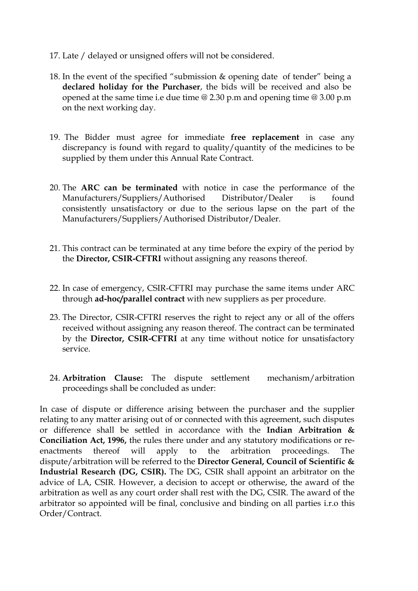- 17. Late / delayed or unsigned offers will not be considered.
- 18. In the event of the specified "submission & opening date of tender" being a **declared holiday for the Purchaser**, the bids will be received and also be opened at the same time i.e due time @ 2.30 p.m and opening time @ 3.00 p.m on the next working day.
- 19. The Bidder must agree for immediate **free replacement** in case any discrepancy is found with regard to quality/quantity of the medicines to be supplied by them under this Annual Rate Contract.
- 20. The **ARC can be terminated** with notice in case the performance of the Manufacturers/Suppliers/Authorised Distributor/Dealer is found consistently unsatisfactory or due to the serious lapse on the part of the Manufacturers/Suppliers/Authorised Distributor/Dealer.
- 21. This contract can be terminated at any time before the expiry of the period by the **Director, CSIR-CFTRI** without assigning any reasons thereof.
- 22. In case of emergency, CSIR-CFTRI may purchase the same items under ARC through **ad-hoc/parallel contract** with new suppliers as per procedure.
- 23. The Director, CSIR-CFTRI reserves the right to reject any or all of the offers received without assigning any reason thereof. The contract can be terminated by the **Director, CSIR-CFTRI** at any time without notice for unsatisfactory service.
- 24. **Arbitration Clause:** The dispute settlement mechanism/arbitration proceedings shall be concluded as under:

In case of dispute or difference arising between the purchaser and the supplier relating to any matter arising out of or connected with this agreement, such disputes or difference shall be settled in accordance with the **Indian Arbitration & Conciliation Act, 1996,** the rules there under and any statutory modifications or reenactments thereof will apply to the arbitration proceedings. The dispute/arbitration will be referred to the **Director General, Council of Scientific & Industrial Research (DG, CSIR).** The DG, CSIR shall appoint an arbitrator on the advice of LA, CSIR. However, a decision to accept or otherwise, the award of the arbitration as well as any court order shall rest with the DG, CSIR. The award of the arbitrator so appointed will be final, conclusive and binding on all parties i.r.o this Order/Contract.